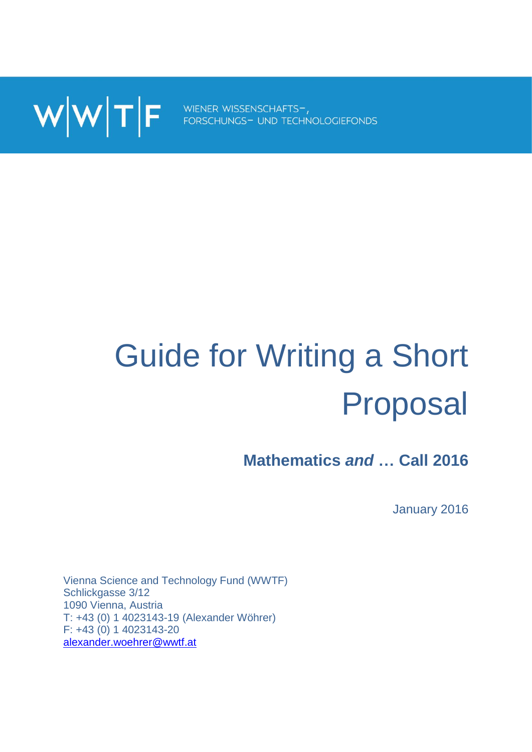

# Guide for Writing a Short Proposal

**Mathematics** *and* **… Call 2016**

January 2016

Vienna Science and Technology Fund (WWTF) Schlickgasse 3/12 1090 Vienna, Austria T: +43 (0) 1 4023143-19 (Alexander Wöhrer) F: +43 (0) 1 4023143-20 [alexander.woehrer@wwtf.at](mailto:alexander.woehrer@wwtf.at)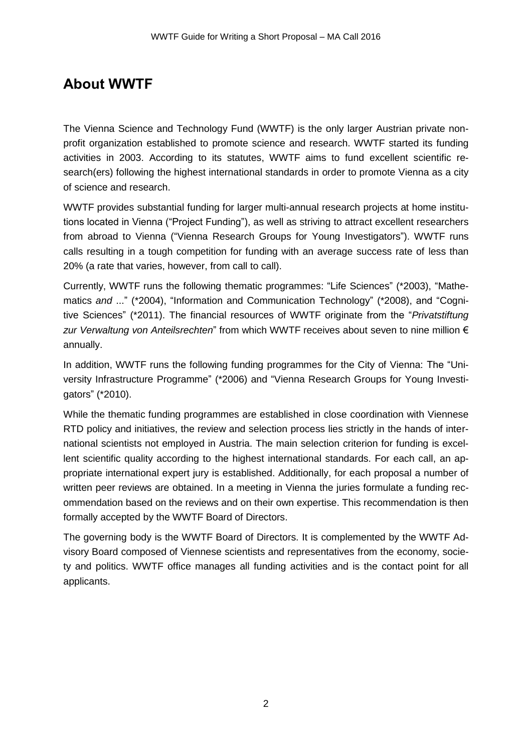## **About WWTF**

The Vienna Science and Technology Fund (WWTF) is the only larger Austrian private nonprofit organization established to promote science and research. WWTF started its funding activities in 2003. According to its statutes, WWTF aims to fund excellent scientific research(ers) following the highest international standards in order to promote Vienna as a city of science and research.

WWTF provides substantial funding for larger multi-annual research projects at home institutions located in Vienna ("Project Funding"), as well as striving to attract excellent researchers from abroad to Vienna ("Vienna Research Groups for Young Investigators"). WWTF runs calls resulting in a tough competition for funding with an average success rate of less than 20% (a rate that varies, however, from call to call).

Currently, WWTF runs the following thematic programmes: "Life Sciences" (\*2003), "Mathematics *and* ..." (\*2004), "Information and Communication Technology" (\*2008), and "Cognitive Sciences" (\*2011). The financial resources of WWTF originate from the "*Privatstiftung zur Verwaltung von Anteilsrechten*" from which WWTF receives about seven to nine million € annually.

In addition, WWTF runs the following funding programmes for the City of Vienna: The "University Infrastructure Programme" (\*2006) and "Vienna Research Groups for Young Investigators" (\*2010).

While the thematic funding programmes are established in close coordination with Viennese RTD policy and initiatives, the review and selection process lies strictly in the hands of international scientists not employed in Austria. The main selection criterion for funding is excellent scientific quality according to the highest international standards. For each call, an appropriate international expert jury is established. Additionally, for each proposal a number of written peer reviews are obtained. In a meeting in Vienna the juries formulate a funding recommendation based on the reviews and on their own expertise. This recommendation is then formally accepted by the WWTF Board of Directors.

The governing body is the WWTF Board of Directors. It is complemented by the WWTF Advisory Board composed of Viennese scientists and representatives from the economy, society and politics. WWTF office manages all funding activities and is the contact point for all applicants.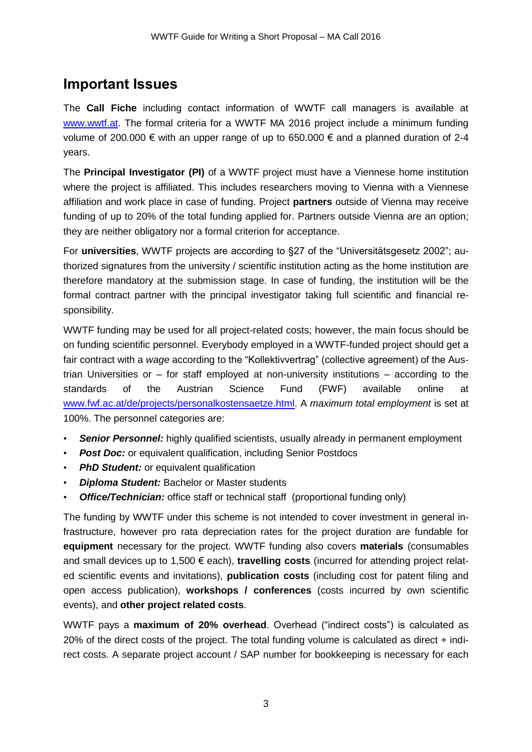## **Important Issues**

The **Call Fiche** including contact information of WWTF call managers is available at [www.wwtf.at.](http://www.wwtf.at/) The formal criteria for a WWTF MA 2016 project include a minimum funding volume of 200.000 € with an upper range of up to 650.000 € and a planned duration of 2-4 years.

The **Principal Investigator (PI)** of a WWTF project must have a Viennese home institution where the project is affiliated. This includes researchers moving to Vienna with a Viennese affiliation and work place in case of funding. Project **partners** outside of Vienna may receive funding of up to 20% of the total funding applied for. Partners outside Vienna are an option; they are neither obligatory nor a formal criterion for acceptance.

For **universities**, WWTF projects are according to §27 of the "Universitätsgesetz 2002"; authorized signatures from the university / scientific institution acting as the home institution are therefore mandatory at the submission stage. In case of funding, the institution will be the formal contract partner with the principal investigator taking full scientific and financial responsibility.

WWTF funding may be used for all project-related costs; however, the main focus should be on funding scientific personnel. Everybody employed in a WWTF-funded project should get a fair contract with a *wage* according to the "Kollektivvertrag" (collective agreement) of the Austrian Universities or – for staff employed at non-university institutions – according to the standards of the Austrian Science Fund (FWF) available online at [www.fwf.ac.at/de/projects/personalkostensaetze.html.](file://vondoderer/wwtf_daten/Projektcalls/Life%20Sciences%202013/Bewerbung/www.fwf.ac.at/de/projects/personalkostensaetze.html) A *maximum total employment* is set at 100%. The personnel categories are:

- **Senior Personnel:** highly qualified scientists, usually already in permanent employment
- *Post Doc:* or equivalent qualification, including Senior Postdocs
- *PhD Student:* or equivalent qualification
- *Diploma Student:* Bachelor or Master students
- *Office/Technician:* office staff or technical staff (proportional funding only)

The funding by WWTF under this scheme is not intended to cover investment in general infrastructure, however pro rata depreciation rates for the project duration are fundable for **equipment** necessary for the project. WWTF funding also covers **materials** (consumables and small devices up to 1,500 € each), **travelling costs** (incurred for attending project related scientific events and invitations), **publication costs** (including cost for patent filing and open access publication), **workshops / conferences** (costs incurred by own scientific events), and **other project related costs**.

WWTF pays a **maximum of 20% overhead**. Overhead ("indirect costs") is calculated as 20% of the direct costs of the project. The total funding volume is calculated as direct + indirect costs. A separate project account / SAP number for bookkeeping is necessary for each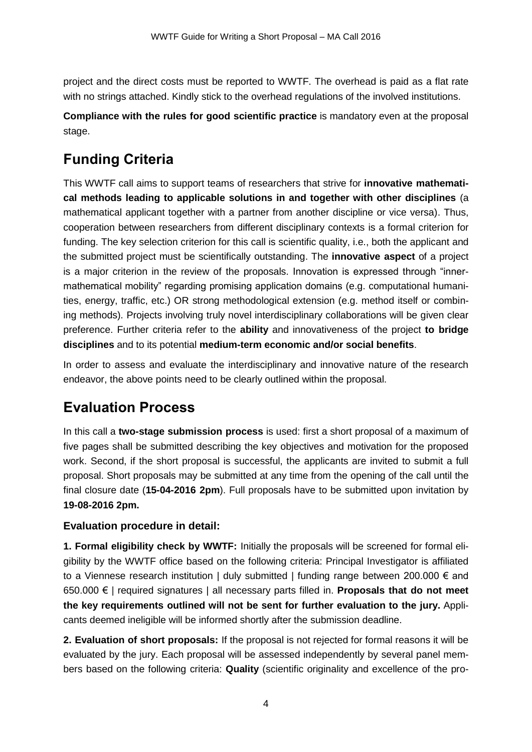project and the direct costs must be reported to WWTF. The overhead is paid as a flat rate with no strings attached. Kindly stick to the overhead regulations of the involved institutions.

**Compliance with the rules for good scientific practice** is mandatory even at the proposal stage.

# **Funding Criteria**

This WWTF call aims to support teams of researchers that strive for **innovative mathematical methods leading to applicable solutions in and together with other disciplines** (a mathematical applicant together with a partner from another discipline or vice versa). Thus, cooperation between researchers from different disciplinary contexts is a formal criterion for funding. The key selection criterion for this call is scientific quality, i.e., both the applicant and the submitted project must be scientifically outstanding. The **innovative aspect** of a project is a major criterion in the review of the proposals. Innovation is expressed through "innermathematical mobility" regarding promising application domains (e.g. computational humanities, energy, traffic, etc.) OR strong methodological extension (e.g. method itself or combining methods). Projects involving truly novel interdisciplinary collaborations will be given clear preference. Further criteria refer to the **ability** and innovativeness of the project **to bridge disciplines** and to its potential **medium-term economic and/or social benefits**.

In order to assess and evaluate the interdisciplinary and innovative nature of the research endeavor, the above points need to be clearly outlined within the proposal.

# **Evaluation Process**

In this call a **two-stage submission process** is used: first a short proposal of a maximum of five pages shall be submitted describing the key objectives and motivation for the proposed work. Second, if the short proposal is successful, the applicants are invited to submit a full proposal. Short proposals may be submitted at any time from the opening of the call until the final closure date (**15-04-2016 2pm**). Full proposals have to be submitted upon invitation by **19-08-2016 2pm.**

#### **Evaluation procedure in detail:**

**1. Formal eligibility check by WWTF:** Initially the proposals will be screened for formal eligibility by the WWTF office based on the following criteria: Principal Investigator is affiliated to a Viennese research institution | duly submitted | funding range between 200.000  $\epsilon$  and 650.000 € | required signatures | all necessary parts filled in. **Proposals that do not meet the key requirements outlined will not be sent for further evaluation to the jury.** Applicants deemed ineligible will be informed shortly after the submission deadline.

**2. Evaluation of short proposals:** If the proposal is not rejected for formal reasons it will be evaluated by the jury. Each proposal will be assessed independently by several panel members based on the following criteria: **Quality** (scientific originality and excellence of the pro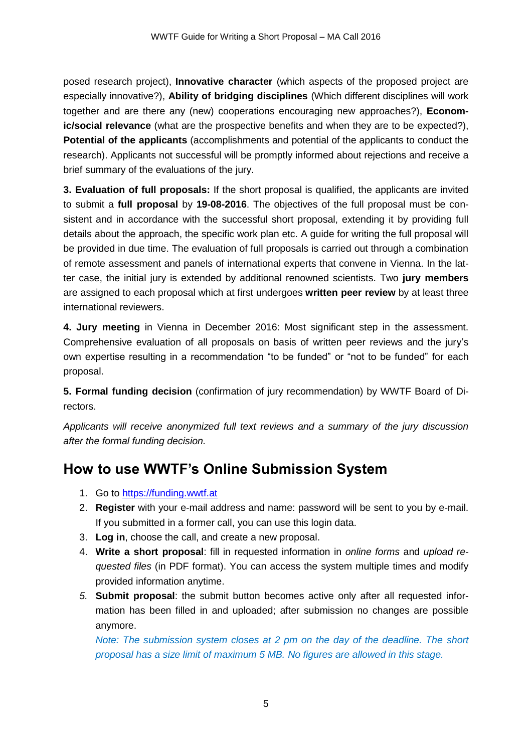posed research project), **Innovative character** (which aspects of the proposed project are especially innovative?), **Ability of bridging disciplines** (Which different disciplines will work together and are there any (new) cooperations encouraging new approaches?), **Economic/social relevance** (what are the prospective benefits and when they are to be expected?), **Potential of the applicants** (accomplishments and potential of the applicants to conduct the research). Applicants not successful will be promptly informed about rejections and receive a brief summary of the evaluations of the jury.

**3. Evaluation of full proposals:** If the short proposal is qualified, the applicants are invited to submit a **full proposal** by **19-08-2016**. The objectives of the full proposal must be consistent and in accordance with the successful short proposal, extending it by providing full details about the approach, the specific work plan etc. A guide for writing the full proposal will be provided in due time. The evaluation of full proposals is carried out through a combination of remote assessment and panels of international experts that convene in Vienna. In the latter case, the initial jury is extended by additional renowned scientists. Two **jury members** are assigned to each proposal which at first undergoes **written peer review** by at least three international reviewers.

**4. Jury meeting** in Vienna in December 2016: Most significant step in the assessment. Comprehensive evaluation of all proposals on basis of written peer reviews and the jury's own expertise resulting in a recommendation "to be funded" or "not to be funded" for each proposal.

**5. Formal funding decision** (confirmation of jury recommendation) by WWTF Board of Directors.

*Applicants will receive anonymized full text reviews and a summary of the jury discussion after the formal funding decision.*

# **How to use WWTF's Online Submission System**

- 1. Go to [https://funding.wwtf.at](https://funding.wwtf.at/)
- 2. **Register** with your e-mail address and name: password will be sent to you by e-mail. If you submitted in a former call, you can use this login data.
- 3. **Log in**, choose the call, and create a new proposal.
- 4. **Write a short proposal**: fill in requested information in *online forms* and *upload requested files* (in PDF format). You can access the system multiple times and modify provided information anytime.
- *5.* **Submit proposal**: the submit button becomes active only after all requested information has been filled in and uploaded; after submission no changes are possible anymore.

*Note: The submission system closes at 2 pm on the day of the deadline. The short proposal has a size limit of maximum 5 MB. No figures are allowed in this stage.*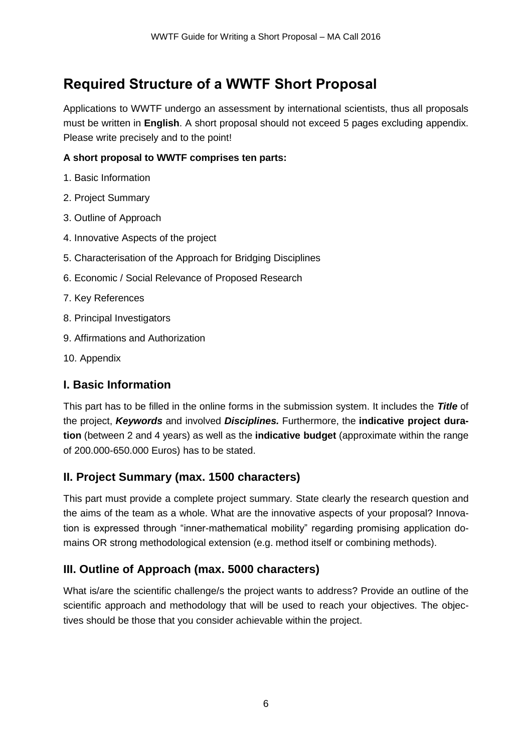# **Required Structure of a WWTF Short Proposal**

Applications to WWTF undergo an assessment by international scientists, thus all proposals must be written in **English**. A short proposal should not exceed 5 pages excluding appendix. Please write precisely and to the point!

#### **A short proposal to WWTF comprises ten parts:**

- 1. Basic Information
- 2. Project Summary
- 3. Outline of Approach
- 4. Innovative Aspects of the project
- 5. Characterisation of the Approach for Bridging Disciplines
- 6. Economic / Social Relevance of Proposed Research
- 7. Key References
- 8. Principal Investigators
- 9. Affirmations and Authorization
- 10. Appendix

#### **I. Basic Information**

This part has to be filled in the online forms in the submission system. It includes the *Title* of the project, *Keywords* and involved *Disciplines.* Furthermore, the **indicative project duration** (between 2 and 4 years) as well as the **indicative budget** (approximate within the range of 200.000-650.000 Euros) has to be stated.

#### **II. Project Summary (max. 1500 characters)**

This part must provide a complete project summary. State clearly the research question and the aims of the team as a whole. What are the innovative aspects of your proposal? Innovation is expressed through "inner-mathematical mobility" regarding promising application domains OR strong methodological extension (e.g. method itself or combining methods).

## **III. Outline of Approach (max. 5000 characters)**

What is/are the scientific challenge/s the project wants to address? Provide an outline of the scientific approach and methodology that will be used to reach your objectives. The objectives should be those that you consider achievable within the project.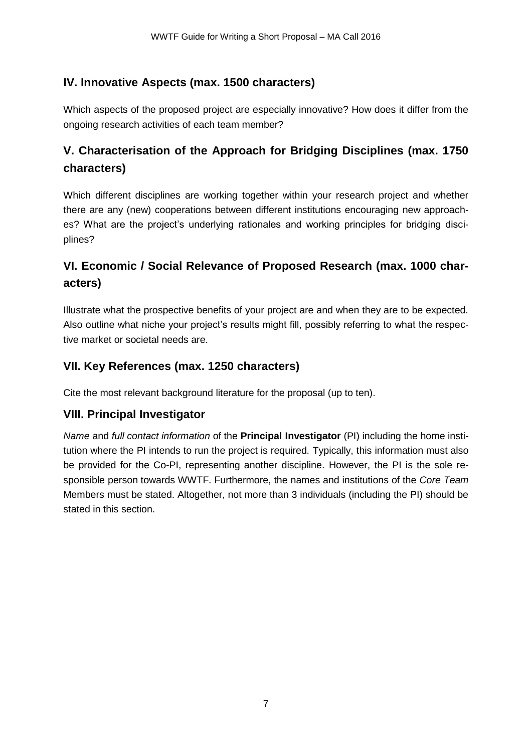### **IV. Innovative Aspects (max. 1500 characters)**

Which aspects of the proposed project are especially innovative? How does it differ from the ongoing research activities of each team member?

## **V. Characterisation of the Approach for Bridging Disciplines (max. 1750 characters)**

Which different disciplines are working together within your research project and whether there are any (new) cooperations between different institutions encouraging new approaches? What are the project's underlying rationales and working principles for bridging disciplines?

## **VI. Economic / Social Relevance of Proposed Research (max. 1000 characters)**

Illustrate what the prospective benefits of your project are and when they are to be expected. Also outline what niche your project's results might fill, possibly referring to what the respective market or societal needs are.

#### **VII. Key References (max. 1250 characters)**

Cite the most relevant background literature for the proposal (up to ten).

#### **VIII. Principal Investigator**

*Name* and *full contact information* of the **Principal Investigator** (PI) including the home institution where the PI intends to run the project is required. Typically, this information must also be provided for the Co-PI, representing another discipline. However, the PI is the sole responsible person towards WWTF. Furthermore, the names and institutions of the *Core Team* Members must be stated. Altogether, not more than 3 individuals (including the PI) should be stated in this section.